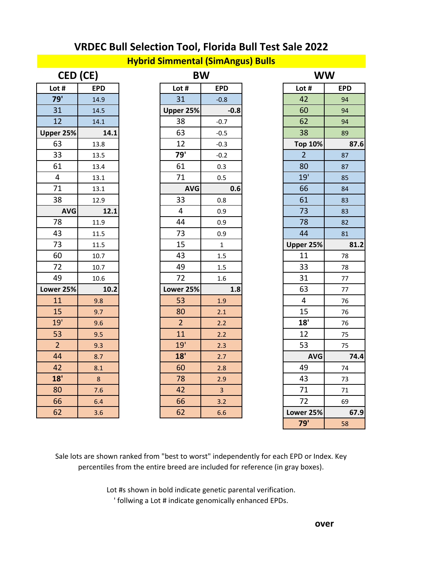#### **Hybrid Simmental (SimAngus) Bulls**

| CED (CE)<br><b>BW</b> |            | <b>WW</b>      |                  |                |  |
|-----------------------|------------|----------------|------------------|----------------|--|
| Lot #                 | <b>EPD</b> | Lot #          | <b>EPD</b>       | Lot #          |  |
| 79'                   | 14.9       | 31             | $-0.8$           | 42             |  |
| 31                    | 14.5       | Upper 25%      | $-0.8$           | 60             |  |
| 12                    | 14.1       | 38             | $-0.7$           | 62             |  |
| Upper 25%             | 14.1       | 63             | $-0.5$           | 38             |  |
| 63                    | 13.8       | 12             | $-0.3$           | <b>Top 10%</b> |  |
| 33                    | 13.5       | 79'            | $-0.2$           | $\overline{2}$ |  |
| 61                    | 13.4       | 61             | 0.3              | 80             |  |
| $\overline{4}$        | 13.1       | 71             | 0.5              | 19'            |  |
| 71                    | 13.1       | <b>AVG</b>     | 0.6              | 66             |  |
| 38                    | 12.9       | 33             | 0.8              | 61             |  |
| <b>AVG</b>            | 12.1       | $\overline{4}$ | 0.9              | 73             |  |
| 78                    | 11.9       | 44             | 0.9              | 78             |  |
| 43                    | 11.5       | 73             | 0.9              | 44             |  |
| 73                    | 11.5       | 15             | $\mathbf{1}$     | Upper 25%      |  |
| 60                    | 10.7       | 43             | 1.5              | 11             |  |
| 72                    | 10.7       | 49             | 1.5              | 33             |  |
| 49                    | 10.6       | 72             | $1.6\phantom{0}$ | 31             |  |
| Lower 25%             | 10.2       | Lower 25%      | 1.8              | 63             |  |
| 11                    | 9.8        | 53             | 1.9              | 4              |  |
| 15                    | 9.7        | 80             | 2.1              | 15             |  |
| 19'                   | 9.6        | $\overline{2}$ | 2.2              | 18'            |  |
| 53                    | 9.5        | 11             | 2.2              | 12             |  |
| $\overline{2}$        | 9.3        | 19'            | 2.3              | 53             |  |
| 44                    | 8.7        | 18'            | 2.7              | <b>AVG</b>     |  |
| 42                    | 8.1        | 60             | 2.8              | 49             |  |
| 18'                   | 8          | 78             | 2.9              | 43             |  |
| 80                    | 7.6        | 42             | $\overline{3}$   | 71             |  |
| 66                    | 6.4        | 66             | 3.2              | 72             |  |
| 62                    | 3.6        | 62             | 6.6              | Lower 25%      |  |

| CED (CE)       |            |                | <b>BW</b>               |                | <b>WW</b>  |  |  |
|----------------|------------|----------------|-------------------------|----------------|------------|--|--|
| Lot #          | <b>EPD</b> | Lot #          | <b>EPD</b>              | Lot #          | <b>EPD</b> |  |  |
| 79'            | 14.9       | 31             | $-0.8$                  | 42             |            |  |  |
| 31             | 14.5       |                | Upper 25%<br>$-0.8$     | 60             |            |  |  |
| 12             | 14.1       | 38             | $-0.7$                  | 62             |            |  |  |
| per 25%        | 14.1       | 63             | $-0.5$                  | 38             |            |  |  |
| 63             | 13.8       | 12             | $-0.3$                  | <b>Top 10%</b> |            |  |  |
| 33             | 13.5       | 79'            | $-0.2$                  | $\overline{2}$ |            |  |  |
| 61             | 13.4       | 61             | 0.3                     | 80             |            |  |  |
| $\overline{4}$ | 13.1       | 71             | 0.5                     | 19'            |            |  |  |
| 71             | 13.1       |                | <b>AVG</b><br>0.6       | 66             |            |  |  |
| 38             | 12.9       | 33             | 0.8                     | 61             |            |  |  |
| <b>AVG</b>     | 12.1       | 4              | 0.9                     | 73             |            |  |  |
| 78             | 11.9       | 44             | 0.9                     | 78             |            |  |  |
| 43             | 11.5       | 73             | 0.9                     | 44             |            |  |  |
| 73             | 11.5       | 15             | $\mathbf{1}$            | Upper 25%      |            |  |  |
| 60             | 10.7       | 43             | 1.5                     | 11             |            |  |  |
| 72             | 10.7       | 49             | 1.5                     | 33             |            |  |  |
| 49             | 10.6       | 72             | 1.6                     | 31             |            |  |  |
| ver 25%        | 10.2       |                | Lower 25%<br>1.8        | 63             |            |  |  |
| 11             | 9.8        | 53             | 1.9                     | 4              |            |  |  |
| 15             | 9.7        | 80             | 2.1                     | 15             |            |  |  |
| 19'            | 9.6        | $\overline{2}$ | 2.2                     | 18'            |            |  |  |
| 53             | 9.5        | 11             | 2.2                     | 12             |            |  |  |
| $\overline{2}$ | 9.3        | 19'            | 2.3                     | 53             |            |  |  |
| 44             | 8.7        | 18'            | 2.7                     | <b>AVG</b>     |            |  |  |
| 42             | 8.1        | 60             | 2.8                     | 49             |            |  |  |
| 18'            | 8          | 78             | 2.9                     | 43             |            |  |  |
| 80             | 7.6        | 42             | $\overline{\mathbf{3}}$ | 71             |            |  |  |
| 66             | 6.4        | 66             | 3.2                     | 72             |            |  |  |
| 62             | 3.6        | 62             | 6.6                     | Lower 25%      |            |  |  |
|                |            |                |                         |                |            |  |  |

| CED (CE)        |                | <b>BW</b>      |                | <b>WW</b>      |            |
|-----------------|----------------|----------------|----------------|----------------|------------|
| ot #            | <b>EPD</b>     | Lot #          | <b>EPD</b>     | Lot #          | <b>EPD</b> |
| 79'             | 14.9           | 31             | $-0.8$         | 42             | 94         |
| 31              | 14.5           | Upper 25%      | $-0.8$         | 60             | 94         |
| 12              | 14.1           | 38             | $-0.7$         | 62             | 94         |
| er 25%          | 14.1           | 63             | $-0.5$         | 38             | 89         |
| 63              | 13.8           | 12             | $-0.3$         | <b>Top 10%</b> | 87.6       |
| 33              | 13.5           | 79'            | $-0.2$         | $\overline{2}$ | 87         |
| 61              | 13.4           | 61             | 0.3            | 80             | 87         |
| $\overline{4}$  | 13.1           | 71             | 0.5            | 19'            | 85         |
| 71              | 13.1           | <b>AVG</b>     | 0.6            | 66             | 84         |
| 38              | 12.9           | 33             | 0.8            | 61             | 83         |
| <b>AVG</b>      | 12.1           | 4              | 0.9            | 73             | 83         |
| 78              | 11.9           | 44             | 0.9            | 78             | 82         |
| 43              | 11.5           | 73             | 0.9            | 44             | 81         |
| 73              | 11.5           | 15             | $\mathbf{1}$   | Upper 25%      | 81.2       |
| 60              | 10.7           | 43             | 1.5            | 11             | 78         |
| $\overline{72}$ | 10.7           | 49             | 1.5            | 33             | 78         |
| 49              | 10.6           | 72             | 1.6            | 31             | 77         |
| er 25%          | 10.2           | Lower 25%      | 1.8            | 63             | 77         |
| 11              | 9.8            | 53             | 1.9            | 4              | 76         |
| 15              | 9.7            | 80             | 2.1            | 15             | 76         |
| 19'             | 9.6            | $\overline{2}$ | 2.2            | 18'            | 76         |
| 53              | 9.5            | 11             | 2.2            | 12             | 75         |
| $\overline{2}$  | 9.3            | 19'            | 2.3            | 53             | 75         |
| 44              | 8.7            | 18'            | 2.7            | <b>AVG</b>     | 74.4       |
| 42              | 8.1            | 60             | 2.8            | 49             | 74         |
| 18'             | $8\phantom{1}$ | 78             | 2.9            | 43             | 73         |
| 80              | 7.6            | 42             | $\overline{3}$ | 71             | 71         |
| 66              | 6.4            | 66             | 3.2            | 72             | 69         |
| 62              | 3.6            | 62             | 6.6            | Lower 25%      | 67.9       |
|                 |                |                |                | 79'            | 58         |

Sale lots are shown ranked from "best to worst" independently for each EPD or Index. Key percentiles from the entire breed are included for reference (in gray boxes).

> Lot #s shown in bold indicate genetic parental verification. ' follwing a Lot # indicate genomically enhanced EPDs.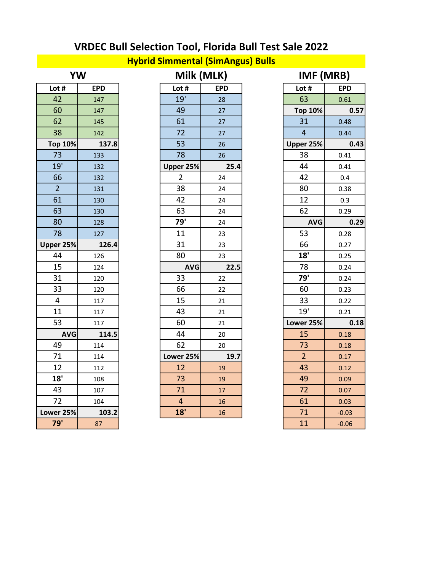### **Hybrid Simmental (SimAngus) Bulls**

| YW             |            | Milk (MLK)     |            |                         | IMF (MRB)  |
|----------------|------------|----------------|------------|-------------------------|------------|
| Lot #          | <b>EPD</b> | Lot #          | <b>EPD</b> | Lot #                   |            |
| 42             | 147        | 19'            | 28         | 63                      |            |
| 60             | 147        | 49             | 27         | <b>Top 10%</b>          |            |
| 62             | 145        | 61             | 27         | 31                      |            |
| 38             | 142        | 72             | 27         | $\overline{\mathbf{r}}$ |            |
| <b>Top 10%</b> | 137.8      | 53             | 26         | Upper 25%               |            |
| 73             | 133        | 78             | 26         | 38                      |            |
| 19'            | 132        | Upper 25%      | 25.4       | 44                      |            |
| 66             | 132        | $\overline{2}$ | 24         | 42                      |            |
| $\overline{2}$ | 131        | 38             | 24         | 80                      |            |
| 61             | 130        | 42             | 24         | 12                      |            |
| 63             | 130        | 63             | 24         | 62                      |            |
| 80             | 128        | 79'            | 24         |                         | <b>AVG</b> |
| 78             | 127        | 11             | 23         | 53                      |            |
| Upper 25%      | 126.4      | 31             | 23         | 66                      |            |
| 44             | 126        | 80             | 23         | 18'                     |            |
| 15             | 124        | <b>AVG</b>     | 22.5       | 78                      |            |
| 31             | 120        | 33             | 22         | 79'                     |            |
| 33             | 120        | 66             | 22         | 60                      |            |
| 4              | 117        | 15             | 21         | 33                      |            |
| 11             | 117        | 43             | 21         | 19'                     |            |
| 53             | 117        | 60             | 21         | Lower 25%               |            |
| <b>AVG</b>     | 114.5      | 44             | 20         | 15                      |            |
| 49             | 114        | 62             | 20         | 73                      |            |
| 71             | 114        | Lower 25%      | 19.7       | $\overline{2}$          |            |
| 12             | 112        | 12             | 19         | 43                      |            |
| 18'            | 108        | 73             | 19         | 49                      |            |
| 43             | 107        | 71             | 17         | 72                      |            |
| 72             | 104        | $\overline{4}$ | 16         | 61                      |            |
| Lower 25%      | 103.2      | 18'            | 16         | 71                      |            |
| 79'            | 87         |                |            | 11                      |            |

| YW                      |            | Milk (MLK) |                         | IMF (MRB)  |                |            |
|-------------------------|------------|------------|-------------------------|------------|----------------|------------|
| Lot #                   | <b>EPD</b> |            | Lot $#$                 | <b>EPD</b> | Lot #          | <b>EPD</b> |
| 42                      | 147        |            | 19'                     | 28         | 63             | 0.61       |
| 60                      | 147        |            | 49                      | 27         | <b>Top 10%</b> | 0.57       |
| 62                      | 145        |            | 61                      | 27         | 31             | 0.48       |
| 38                      | 142        |            | 72                      | 27         | $\overline{4}$ | 0.44       |
| <b>Top 10%</b>          | 137.8      |            | 53                      | 26         | Upper 25%      | 0.43       |
| 73                      | 133        |            | 78                      | 26         | 38             | 0.41       |
| 19'                     | 132        |            | Upper 25%               | 25.4       | 44             | 0.41       |
| 66                      | 132        |            | $\overline{2}$          | 24         | 42             | 0.4        |
| $\overline{2}$          | 131        |            | 38                      | 24         | 80             | 0.38       |
| 61                      | 130        |            | 42                      | 24         | 12             | 0.3        |
| 63                      | 130        |            | 63                      | 24         | 62             | 0.29       |
| 80                      | 128        |            | 79'                     | 24         | <b>AVG</b>     | 0.29       |
| 78                      | 127        |            | 11                      | 23         | 53             | 0.28       |
| Upper 25%               | 126.4      |            | 31                      | 23         | 66             | 0.27       |
| 44                      | 126        |            | 80                      | 23         | 18'            | 0.25       |
| 15                      | 124        |            | <b>AVG</b>              | 22.5       | 78             | 0.24       |
| 31                      | 120        |            | 33                      | 22         | 79'            | 0.24       |
| 33                      | 120        |            | 66                      | 22         | 60             | 0.23       |
| $\overline{\mathbf{4}}$ | 117        |            | 15                      | 21         | 33             | 0.22       |
| 11                      | 117        |            | 43                      | 21         | 19'            | 0.21       |
| 53                      | 117        |            | 60                      | 21         | Lower 25%      | 0.18       |
| <b>AVG</b>              | 114.5      |            | 44                      | 20         | 15             | 0.18       |
| 49                      | 114        |            | 62                      | 20         | 73             | 0.18       |
| 71                      | 114        |            | Lower 25%               | 19.7       | $\overline{2}$ | 0.17       |
| 12                      | 112        |            | 12                      | 19         | 43             | 0.12       |
| 18'                     | 108        |            | 73                      | 19         | 49             | 0.09       |
| 43                      | 107        |            | 71                      | 17         | 72             | 0.07       |
| 72                      | 104        |            | $\overline{\mathbf{4}}$ | 16         | 61             | 0.03       |
| Lower 25%               | 103.2      |            | 18'                     | 16         | 71             | $-0.03$    |

| <b>YW</b>      |            | Milk (MLK)     |            |                | IMF (MRB)  |
|----------------|------------|----------------|------------|----------------|------------|
| ot #           | <b>EPD</b> | Lot #          | <b>EPD</b> | Lot #          | <b>EPD</b> |
| 42             | 147        | 19'            | 28         | 63             | 0.61       |
| 60             | 147        | 49             | 27         | <b>Top 10%</b> | 0.57       |
| 62             | 145        | 61             | 27         | 31             | 0.48       |
| 38             | 142        | 72             | 27         | $\overline{4}$ | 0.44       |
| op 10%         | 137.8      | 53             | 26         | Upper 25%      | 0.43       |
| 73             | 133        | 78             | 26         | 38             | 0.41       |
| 19'            | 132        | Upper 25%      | 25.4       | 44             | 0.41       |
| 66             | 132        | $\overline{2}$ | 24         | 42             | 0.4        |
| $\overline{2}$ | 131        | 38             | 24         | 80             | 0.38       |
| 61             | 130        | 42             | 24         | 12             | 0.3        |
| 63             | 130        | 63             | 24         | 62             | 0.29       |
| 80             | 128        | 79'            | 24         | <b>AVG</b>     | 0.29       |
| 78             | 127        | 11             | 23         | 53             | 0.28       |
| er 25%         | 126.4      | 31             | 23         | 66             | 0.27       |
| 44             | 126        | 80             | 23         | 18'            | 0.25       |
| 15             | 124        | <b>AVG</b>     | 22.5       | 78             | 0.24       |
| 31             | 120        | 33             | 22         | 79'            | 0.24       |
| 33             | 120        | 66             | 22         | 60             | 0.23       |
| $\overline{4}$ | 117        | 15             | 21         | 33             | 0.22       |
| 11             | 117        | 43             | 21         | 19'            | 0.21       |
| 53             | 117        | 60             | 21         | Lower 25%      | 0.18       |
| <b>AVG</b>     | 114.5      | 44             | 20         | 15             | 0.18       |
| 49             | 114        | 62             | 20         | 73             | 0.18       |
| 71             | 114        | Lower 25%      | 19.7       | $\overline{2}$ | 0.17       |
| 12             | 112        | 12             | 19         | 43             | 0.12       |
| 18'            | 108        | 73             | 19         | 49             | 0.09       |
| 43             | 107        | 71             | 17         | 72             | 0.07       |
| 72             | 104        | 4              | 16         | 61             | 0.03       |
| er 25%         | 103.2      | 18'            | 16         | 71             | $-0.03$    |
| 79'            | 87         |                |            | 11             | $-0.06$    |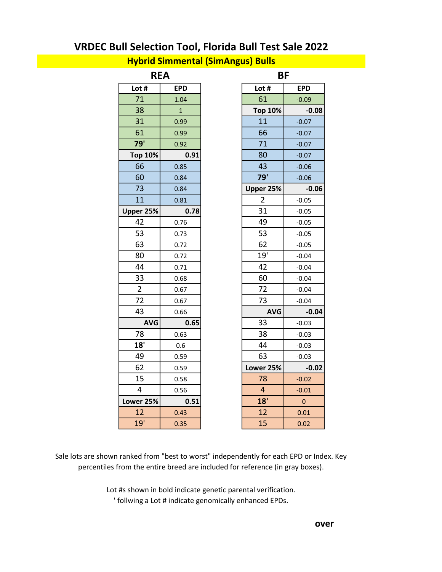#### **Hybrid Simmental (SimAngus) Bulls**

|                | <b>REA</b>   |                         | <b>BF</b>  |
|----------------|--------------|-------------------------|------------|
| Lot #          | <b>EPD</b>   | Lot #                   | <b>EPD</b> |
| 71             | 1.04         | 61                      | $-0.09$    |
| 38             | $\mathbf{1}$ | <b>Top 10%</b>          |            |
| 31             | 0.99         | 11                      | $-0.07$    |
| 61             | 0.99         | 66                      | $-0.07$    |
| 79'            | 0.92         | 71                      | $-0.07$    |
| <b>Top 10%</b> | 0.91         | 80                      | $-0.07$    |
| 66             | 0.85         | 43                      | $-0.06$    |
| 60             | 0.84         | $\overline{79}$         | $-0.06$    |
| 73             | 0.84         | Upper 25%               |            |
| 11             | 0.81         | $\overline{2}$          | $-0.05$    |
| Upper 25%      | 0.78         | 31                      | $-0.05$    |
| 42             | 0.76         | 49                      | $-0.05$    |
| 53             | 0.73         | 53                      | $-0.05$    |
| 63             | 0.72         | 62                      | $-0.05$    |
| 80             | 0.72         | 19'                     | $-0.04$    |
| 44             | 0.71         | 42                      | $-0.04$    |
| 33             | 0.68         | 60                      | $-0.04$    |
| $\overline{2}$ | 0.67         | 72                      | $-0.04$    |
| 72             | 0.67         | 73                      | $-0.04$    |
| 43             | 0.66         | <b>AVG</b>              |            |
| <b>AVG</b>     | 0.65         | 33                      | $-0.03$    |
| 78             | 0.63         | 38                      | $-0.03$    |
| 18'            | 0.6          | 44                      | $-0.03$    |
| 49             | 0.59         | 63                      | $-0.03$    |
| 62             | 0.59         | Lower 25%               |            |
| 15             | 0.58         | 78                      | $-0.02$    |
| 4              | 0.56         | $\overline{\mathbf{4}}$ | $-0.01$    |
| Lower 25%      | 0.51         | 18'                     |            |
| 12             | 0.43         | 12                      | 0.01       |
| 19'            | 0.35         | 15                      | 0.02       |
|                |              |                         |            |

| .ot #          | <b>EPD</b>   | Lot #          | <b>EPD</b> |
|----------------|--------------|----------------|------------|
| 71             | 1.04         | 61             | $-0.09$    |
| 38             | $\mathbf{1}$ | <b>Top 10%</b> | $-0.08$    |
| 31             | 0.99         | 11             | $-0.07$    |
| 61             | 0.99         | 66             | $-0.07$    |
| 79'            | 0.92         | 71             | $-0.07$    |
| op 10%         | 0.91         | 80             | $-0.07$    |
| 66             | 0.85         | 43             | $-0.06$    |
| 60             | 0.84         | 79'            | $-0.06$    |
| 73             | 0.84         | Upper 25%      | $-0.06$    |
| 11             | 0.81         | $\overline{2}$ | $-0.05$    |
| er 25%         | 0.78         | 31             | $-0.05$    |
| 42             | 0.76         | 49             | $-0.05$    |
| 53             | 0.73         | 53             | $-0.05$    |
| 63             | 0.72         | 62             | $-0.05$    |
| 80             | 0.72         | 19'            | $-0.04$    |
| 44             | 0.71         | 42             | $-0.04$    |
| 33             | 0.68         | 60             | $-0.04$    |
| $\overline{2}$ | 0.67         | 72             | $-0.04$    |
| 72             | 0.67         | 73             | $-0.04$    |
| 43             | 0.66         | <b>AVG</b>     | $-0.04$    |
| <b>AVG</b>     | 0.65         | 33             | $-0.03$    |
| 78             | 0.63         | 38             | $-0.03$    |
| 18'            | 0.6          | 44             | $-0.03$    |
| 49             | 0.59         | 63             | $-0.03$    |
| 62             | 0.59         | Lower 25%      | $-0.02$    |
| 15             | 0.58         | 78             | $-0.02$    |
| $\overline{4}$ | 0.56         | 4              | $-0.01$    |
| er 25%         | 0.51         | 18'            | $\pmb{0}$  |
| 12             | 0.43         | 12             | 0.01       |
| 19'            | 0.35         | 15             | 0.02       |
|                |              |                |            |

Sale lots are shown ranked from "best to worst" independently for each EPD or Index. Key percentiles from the entire breed are included for reference (in gray boxes).

> Lot #s shown in bold indicate genetic parental verification. ' follwing a Lot # indicate genomically enhanced EPDs.